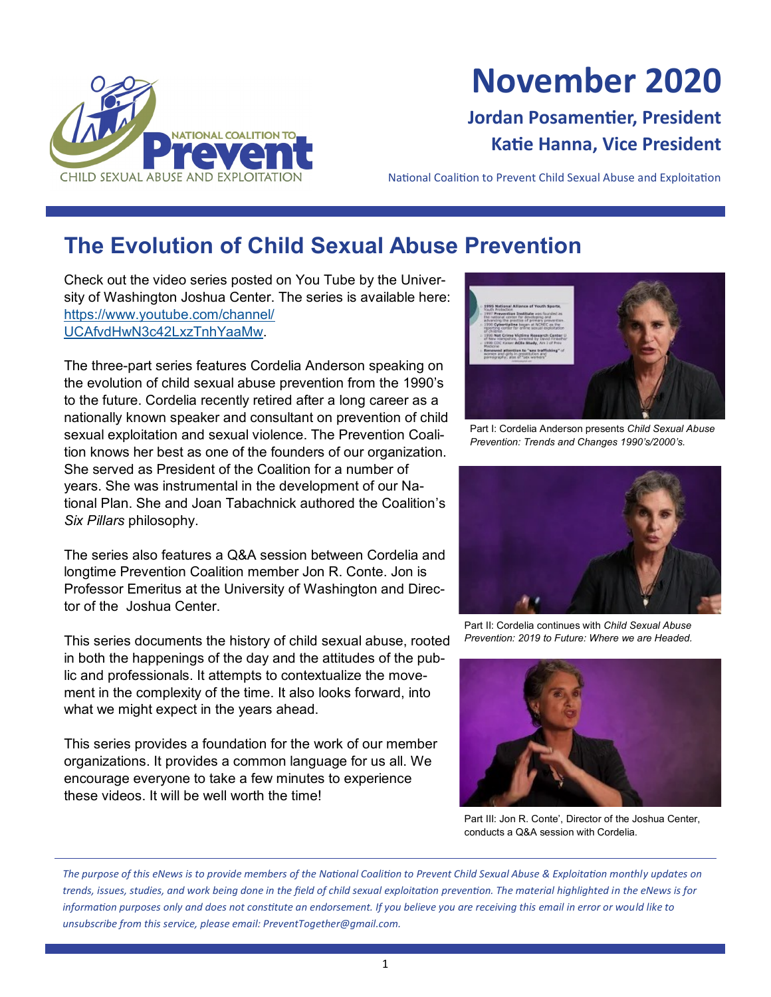

# **November 2020**

# **Jordan Posamentier, President Katie Hanna, Vice President**

National Coalition to Prevent Child Sexual Abuse and Exploitation

# **The Evolution of Child Sexual Abuse Prevention**

Check out the video series posted on You Tube by the University of Washington Joshua Center. The series is available here: [https://www.youtube.com/channel/](https://www.youtube.com/channel/UCAfvdHwN3c42LxzTnhYaaMw) [UCAfvdHwN3c42LxzTnhYaaMw.](https://www.youtube.com/channel/UCAfvdHwN3c42LxzTnhYaaMw)

The three-part series features Cordelia Anderson speaking on the evolution of child sexual abuse prevention from the 1990's to the future. Cordelia recently retired after a long career as a nationally known speaker and consultant on prevention of child sexual exploitation and sexual violence. The Prevention Coalition knows her best as one of the founders of our organization. She served as President of the Coalition for a number of years. She was instrumental in the development of our National Plan. She and Joan Tabachnick authored the Coalition's *Six Pillars* philosophy.

The series also features a Q&A session between Cordelia and longtime Prevention Coalition member Jon R. Conte. Jon is Professor Emeritus at the University of Washington and Director of the Joshua Center.

This series documents the history of child sexual abuse, rooted in both the happenings of the day and the attitudes of the public and professionals. It attempts to contextualize the movement in the complexity of the time. It also looks forward, into what we might expect in the years ahead.

This series provides a foundation for the work of our member organizations. It provides a common language for us all. We encourage everyone to take a few minutes to experience these videos. It will be well worth the time!



Part I: Cordelia Anderson presents *Child Sexual Abuse Prevention: Trends and Changes 1990's/2000's.*



Part II: Cordelia continues with *Child Sexual Abuse Prevention: 2019 to Future: Where we are Headed.*



Part III: Jon R. Conte', Director of the Joshua Center, conducts a Q&A session with Cordelia.

*The purpose of this eNews is to provide members of the National Coalition to Prevent Child Sexual Abuse & Exploitation monthly updates on trends, issues, studies, and work being done in the field of child sexual exploitation prevention. The material highlighted in the eNews is for information purposes only and does not constitute an endorsement. If you believe you are receiving this email in error or would like to unsubscribe from this service, please email: PreventTogether@gmail.com.*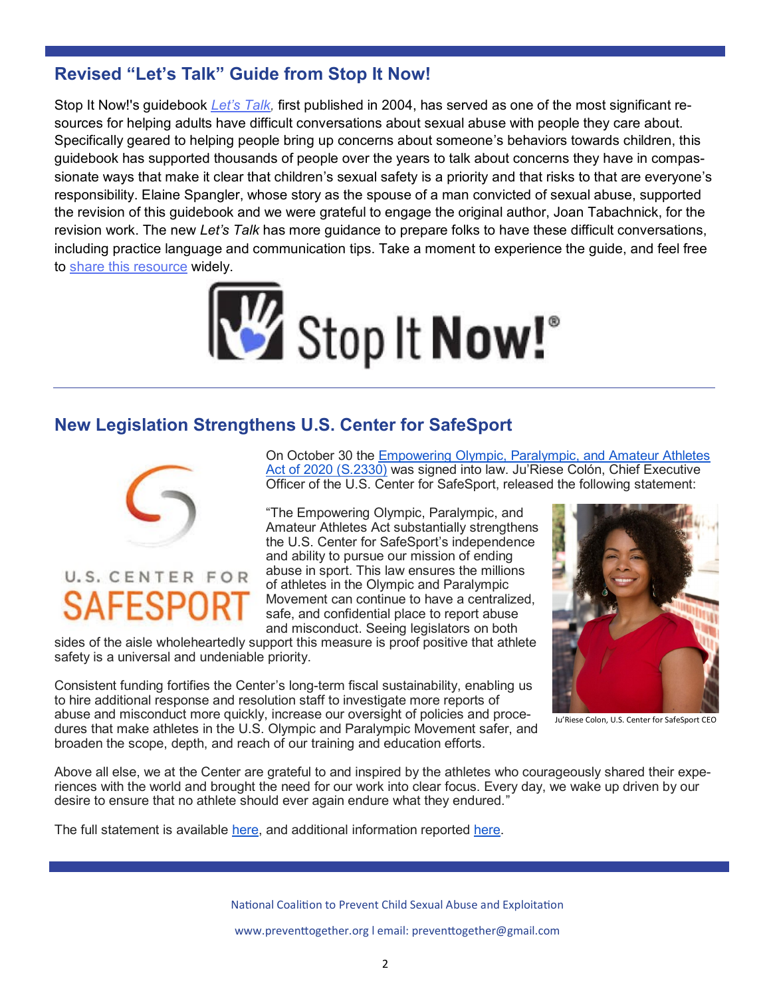## **Revised "Let's Talk" Guide from Stop It Now!**

Stop It Now!'s guidebook *Let'[s Talk,](https://eur06.safelinks.protection.outlook.com/?url=http%3A%2F%2Fr20.rs6.net%2Ftn.jsp%3Ff%3D001Yg5psVtqi6r41CN_ymFqwd8v_FnXmfkQ4jF6I0QEDN2vkY0Dw8lH8R3WtUIraW5Rim7iLC5yHkfFj7tkJOe1Zbi3MjtBOD4HJCkIQ8wgw5x3PvYl-msG6ZUfwdsKJYmICKr5_0iM0Y9DLDQkMpLqD1Dzuqtgp4cZYcxd)* first published in 2004, has served as one of the most significant resources for helping adults have difficult conversations about sexual abuse with people they care about. Specifically geared to helping people bring up concerns about someone's behaviors towards children, this guidebook has supported thousands of people over the years to talk about concerns they have in compassionate ways that make it clear that children's sexual safety is a priority and that risks to that are everyone's responsibility. Elaine Spangler, whose story as the spouse of a man convicted of sexual abuse, supported the revision of this guidebook and we were grateful to engage the original author, Joan Tabachnick, for the revision work. The new *Let's Talk* has more guidance to prepare folks to have these difficult conversations, including practice language and communication tips. Take a moment to experience the guide, and feel free to [share this resource](https://eur06.safelinks.protection.outlook.com/?url=http%3A%2F%2Fr20.rs6.net%2Ftn.jsp%3Ff%3D001Yg5psVtqi6r41CN_ymFqwd8v_FnXmfkQ4jF6I0QEDN2vkY0Dw8lH8R3WtUIraW5Rim7iLC5yHkfFj7tkJOe1Zbi3MjtBOD4HJCkIQ8wgw5x3PvYl-msG6ZUfwdsKJYmICKr5_0iM0Y9DLDQkMpLqD1Dzuqtgp4cZYcxd) widely.



#### **New Legislation Strengthens U.S. Center for SafeSport**



# U.S. CENTER FOR

On October 30 the [Empowering Olympic, Paralympic, and Amateur Athletes](https://www.congress.gov/116/bills/s2330/BILLS-116s2330enr.pdf)  [Act of 2020 \(S.2330\)](https://www.congress.gov/116/bills/s2330/BILLS-116s2330enr.pdf) was signed into law. Ju'Riese Colón, Chief Executive Officer of the U.S. Center for SafeSport, released the following statement:

"The Empowering Olympic, Paralympic, and Amateur Athletes Act substantially strengthens the U.S. Center for SafeSport's independence and ability to pursue our mission of ending abuse in sport. This law ensures the millions of athletes in the Olympic and Paralympic Movement can continue to have a centralized, safe, and confidential place to report abuse and misconduct. Seeing legislators on both

sides of the aisle wholeheartedly support this measure is proof positive that athlete safety is a universal and undeniable priority.

Consistent funding fortifies the Center's long-term fiscal sustainability, enabling us to hire additional response and resolution staff to investigate more reports of abuse and misconduct more quickly, increase our oversight of policies and procedures that make athletes in the U.S. Olympic and Paralympic Movement safer, and broaden the scope, depth, and reach of our training and education efforts.



Ju'Riese Colon, U.S. Center for SafeSport CEO

Above all else, we at the Center are grateful to and inspired by the athletes who courageously shared their experiences with the world and brought the need for our work into clear focus. Every day, we wake up driven by our desire to ensure that no athlete should ever again endure what they endured."

The full statement is available [here,](https://uscenterforsafesport.org/wp-content/uploads/2020/10/US-Center-for-SafeSport-Statement-S2330-Law.pdf) and additional information reported [here.](https://www.espn.com/olympics/story/_/id/30229973/new-law-gives-congress-more-oversight-leaders-us-olympic-paralympic-committee)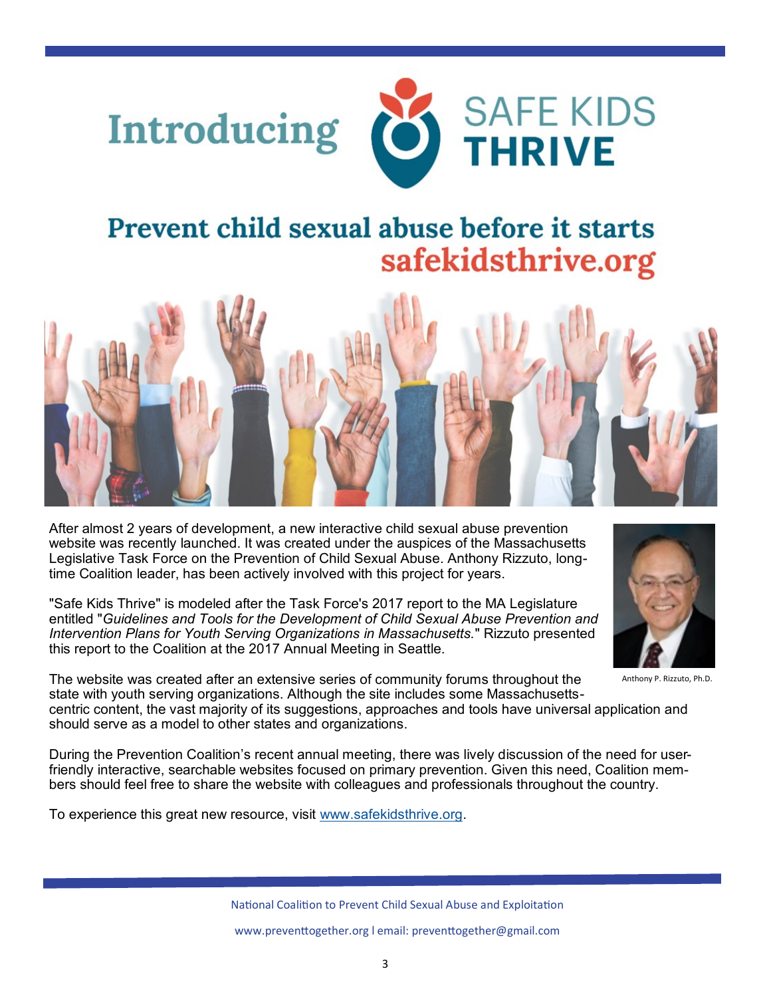



# **Prevent child sexual abuse before it starts** safekidsthrive.org



After almost 2 years of development, a new interactive child sexual abuse prevention website was recently launched. It was created under the auspices of the Massachusetts Legislative Task Force on the Prevention of Child Sexual Abuse. Anthony Rizzuto, longtime Coalition leader, has been actively involved with this project for years.

"Safe Kids Thrive" is modeled after the Task Force's 2017 report to the MA Legislature entitled "*Guidelines and Tools for the Development of Child Sexual Abuse Prevention and Intervention Plans for Youth Serving Organizations in Massachusetts.*" Rizzuto presented this report to the Coalition at the 2017 Annual Meeting in Seattle.



Anthony P. Rizzuto, Ph.D.

The website was created after an extensive series of community forums throughout the state with youth serving organizations. Although the site includes some Massachusetts-

centric content, the vast majority of its suggestions, approaches and tools have universal application and should serve as a model to other states and organizations.

During the Prevention Coalition's recent annual meeting, there was lively discussion of the need for userfriendly interactive, searchable websites focused on primary prevention. Given this need, Coalition members should feel free to share the website with colleagues and professionals throughout the country.

To experience this great new resource, visit [www.safekidsthrive.org.](http://www.safekidsthrive.org)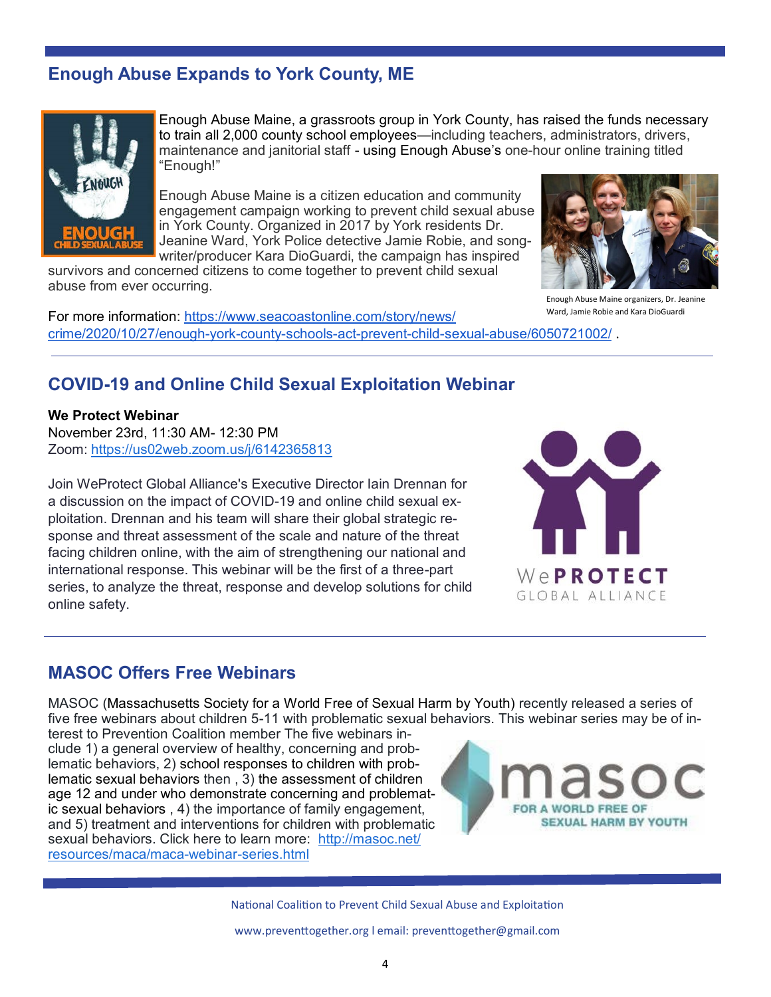# **Enough Abuse Expands to York County, ME**



Enough Abuse Maine, a grassroots group in York County, has raised the funds necessary to train all 2,000 county school employees—including teachers, administrators, drivers, maintenance and janitorial staff - using Enough Abuse's one-hour online training titled "Enough!"

Enough Abuse Maine is a citizen education and community engagement campaign working to prevent child sexual abuse in York County. Organized in 2017 by York residents Dr. Jeanine Ward, York Police detective Jamie Robie, and songwriter/producer Kara DioGuardi, the campaign has inspired

survivors and concerned citizens to come together to prevent child sexual abuse from ever occurring.

For more information: [https://www.seacoastonline.com/story/news/](https://www.seacoastonline.com/story/news/crime/2020/10/27/enough-york-county-schools-act-prevent-child-sexual-abuse/6050721002/) [crime/2020/10/27/enough](https://www.seacoastonline.com/story/news/crime/2020/10/27/enough-york-county-schools-act-prevent-child-sexual-abuse/6050721002/)-york-county-schools-act-prevent-child-sexual-abuse/6050721002/ .



Enough Abuse Maine organizers, Dr. Jeanine Ward, Jamie Robie and Kara DioGuardi

#### **COVID-19 and Online Child Sexual Exploitation Webinar**

#### **We Protect Webinar**

November 23rd, 11:30 AM- 12:30 PM Zoom: <https://us02web.zoom.us/j/6142365813>

Join WeProtect Global Alliance's Executive Director Iain Drennan for a discussion on the impact of COVID-19 and online child sexual exploitation. Drennan and his team will share their global strategic response and threat assessment of the scale and nature of the threat facing children online, with the aim of strengthening our national and international response. This webinar will be the first of a three-part series, to analyze the threat, response and develop solutions for child online safety.



#### **MASOC Offers Free Webinars**

MASOC (Massachusetts Society for a World Free of Sexual Harm by Youth) recently released a series of five free webinars about children 5-11 with problematic sexual behaviors. This webinar series may be of in-

terest to Prevention Coalition member The five webinars include 1) a general overview of healthy, concerning and problematic behaviors, 2) school responses to children with problematic sexual behaviors then , 3) the assessment of children age 12 and under who demonstrate concerning and problematic sexual behaviors , 4) the importance of family engagement, and 5) treatment and interventions for children with problematic sexual behaviors. Click here to learn more: [http://masoc.net/](http://masoc.net/resources/maca/maca-webinar-series.html) [resources/maca/maca](http://masoc.net/resources/maca/maca-webinar-series.html)-webinar-series.html



National Coalition to Prevent Child Sexual Abuse and Exploitation

www.preventtogether.org l email: preventtogether@gmail.com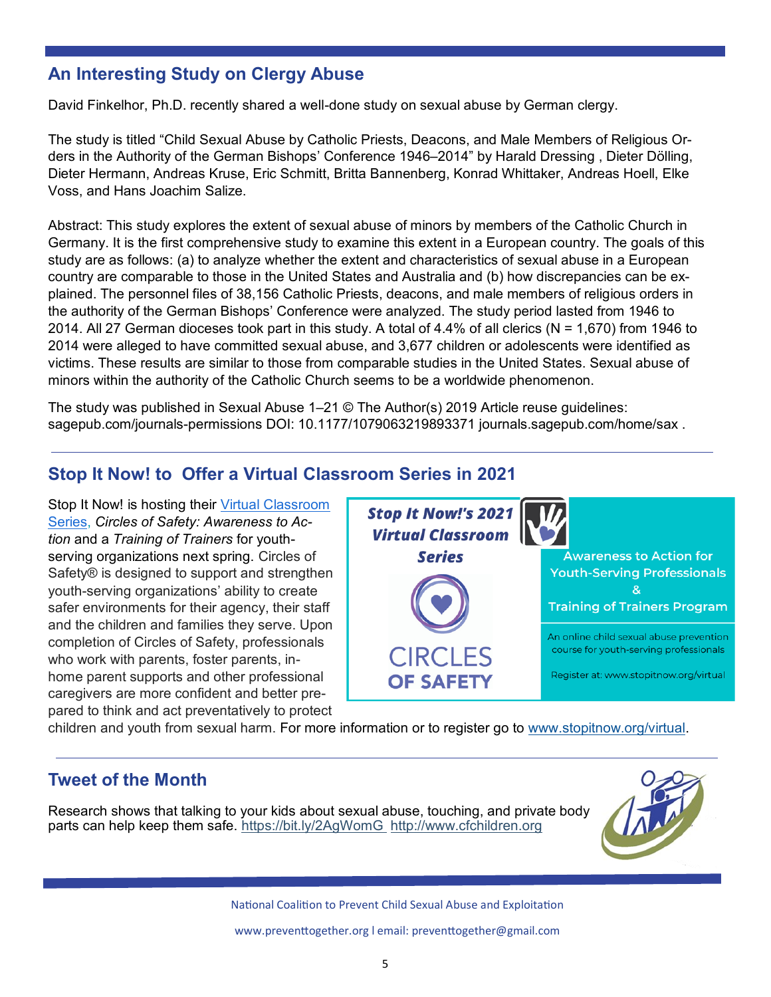# **An Interesting Study on Clergy Abuse**

David Finkelhor, Ph.D. recently shared a well-done study on sexual abuse by German clergy.

The study is titled "Child Sexual Abuse by Catholic Priests, Deacons, and Male Members of Religious Orders in the Authority of the German Bishops' Conference 1946–2014" by Harald Dressing , Dieter Dölling, Dieter Hermann, Andreas Kruse, Eric Schmitt, Britta Bannenberg, Konrad Whittaker, Andreas Hoell, Elke Voss, and Hans Joachim Salize.

Abstract: This study explores the extent of sexual abuse of minors by members of the Catholic Church in Germany. It is the first comprehensive study to examine this extent in a European country. The goals of this study are as follows: (a) to analyze whether the extent and characteristics of sexual abuse in a European country are comparable to those in the United States and Australia and (b) how discrepancies can be explained. The personnel files of 38,156 Catholic Priests, deacons, and male members of religious orders in the authority of the German Bishops' Conference were analyzed. The study period lasted from 1946 to 2014. All 27 German dioceses took part in this study. A total of 4.4% of all clerics (N = 1,670) from 1946 to 2014 were alleged to have committed sexual abuse, and 3,677 children or adolescents were identified as victims. These results are similar to those from comparable studies in the United States. Sexual abuse of minors within the authority of the Catholic Church seems to be a worldwide phenomenon.

The study was published in Sexual Abuse 1–21 © The Author(s) 2019 Article reuse guidelines: sagepub.com/journals-permissions DOI: 10.1177/1079063219893371 journals.sagepub.com/home/sax .

# **Stop It Now! to Offer a Virtual Classroom Series in 2021**

Stop It Now! is hosting their Virtual Classroom [Series,](https://www.stopitnow.org/virtual-classroom-series) *Circles of Safety: Awareness to Action* and a *Training of Trainers* for youthserving organizations next spring. Circles of Safety® is designed to support and strengthen youth-serving organizations' ability to create safer environments for their agency, their staff and the children and families they serve. Upon completion of Circles of Safety, professionals who work with parents, foster parents, inhome parent supports and other professional caregivers are more confident and better prepared to think and act preventatively to protect



children and youth from sexual harm. For more information or to register go to [www.stopitnow.org/virtual.](http://www.stopitnow.org/virtual)

### **Tweet of the Month**

Research shows that talking to your kids about sexual abuse, touching, and private body parts can help keep them safe. [https://bit.ly/2AgWomG](https://t.co/zi5QnZ6Lmq) [http://www.cfchildren.org](https://t.co/C8NgfpiHsi)